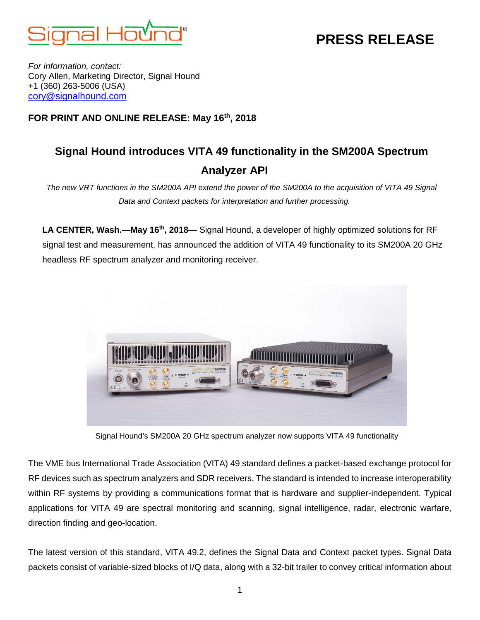

# **PRESS RELEASE**

*For information, contact:* Cory Allen, Marketing Director, Signal Hound +1 (360) 263-5006 (USA) [cory@signalhound.com](mailto:cory@signalhound.com)

### **FOR PRINT AND ONLINE RELEASE: May 16th, 2018**

## **Signal Hound introduces VITA 49 functionality in the SM200A Spectrum Analyzer API**

*The new VRT functions in the SM200A API extend the power of the SM200A to the acquisition of VITA 49 Signal Data and Context packets for interpretation and further processing.*

**LA CENTER, Wash.—May 16th, 2018—** Signal Hound, a developer of highly optimized solutions for RF signal test and measurement, has announced the addition of VITA 49 functionality to its SM200A 20 GHz headless RF spectrum analyzer and monitoring receiver.



Signal Hound's SM200A 20 GHz spectrum analyzer now supports VITA 49 functionality

The VME bus International Trade Association (VITA) 49 standard defines a packet-based exchange protocol for RF devices such as spectrum analyzers and SDR receivers. The standard is intended to increase interoperability within RF systems by providing a communications format that is hardware and supplier-independent. Typical applications for VITA 49 are spectral monitoring and scanning, signal intelligence, radar, electronic warfare, direction finding and geo-location.

The latest version of this standard, VITA 49.2, defines the Signal Data and Context packet types. Signal Data packets consist of variable-sized blocks of I/Q data, along with a 32-bit trailer to convey critical information about